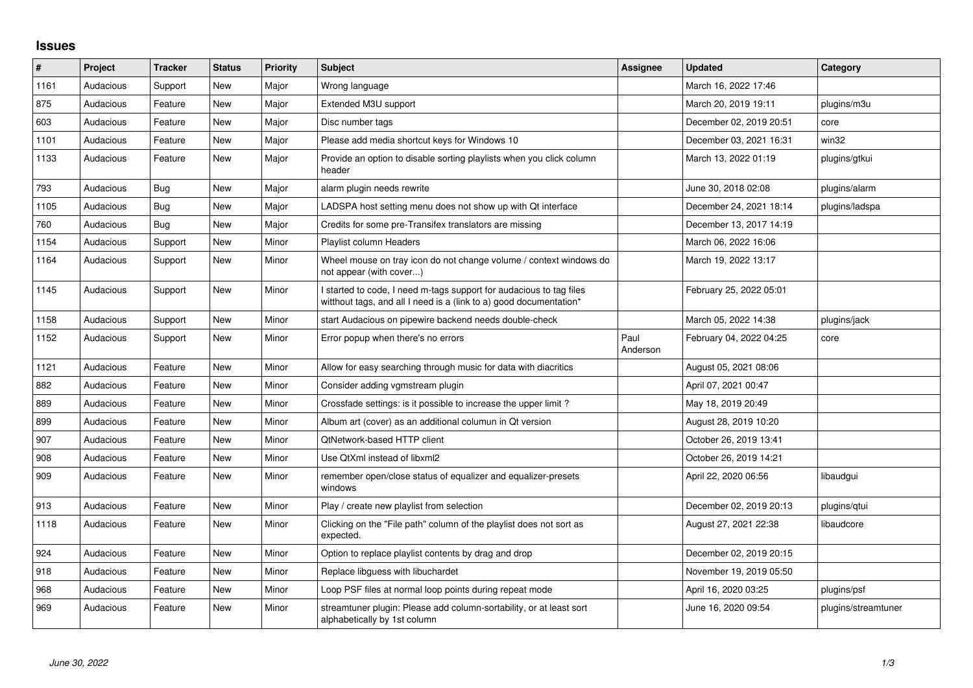## **Issues**

| $\vert$ # | Project   | <b>Tracker</b> | <b>Status</b> | <b>Priority</b> | <b>Subject</b>                                                                                                                            | <b>Assignee</b>  | <b>Updated</b>          | Category            |
|-----------|-----------|----------------|---------------|-----------------|-------------------------------------------------------------------------------------------------------------------------------------------|------------------|-------------------------|---------------------|
| 1161      | Audacious | Support        | <b>New</b>    | Major           | Wrong language                                                                                                                            |                  | March 16, 2022 17:46    |                     |
| 875       | Audacious | Feature        | <b>New</b>    | Major           | Extended M3U support                                                                                                                      |                  | March 20, 2019 19:11    | plugins/m3u         |
| 603       | Audacious | Feature        | <b>New</b>    | Major           | Disc number tags                                                                                                                          |                  | December 02, 2019 20:51 | core                |
| 1101      | Audacious | Feature        | <b>New</b>    | Major           | Please add media shortcut keys for Windows 10                                                                                             |                  | December 03, 2021 16:31 | win32               |
| 1133      | Audacious | Feature        | <b>New</b>    | Major           | Provide an option to disable sorting playlists when you click column<br>header                                                            |                  | March 13, 2022 01:19    | plugins/gtkui       |
| 793       | Audacious | Bug            | <b>New</b>    | Major           | alarm plugin needs rewrite                                                                                                                |                  | June 30, 2018 02:08     | plugins/alarm       |
| 1105      | Audacious | Bug            | <b>New</b>    | Major           | LADSPA host setting menu does not show up with Qt interface                                                                               |                  | December 24, 2021 18:14 | plugins/ladspa      |
| 760       | Audacious | Bug            | <b>New</b>    | Major           | Credits for some pre-Transifex translators are missing                                                                                    |                  | December 13, 2017 14:19 |                     |
| 1154      | Audacious | Support        | New           | Minor           | Playlist column Headers                                                                                                                   |                  | March 06, 2022 16:06    |                     |
| 1164      | Audacious | Support        | New           | Minor           | Wheel mouse on tray icon do not change volume / context windows do<br>not appear (with cover)                                             |                  | March 19, 2022 13:17    |                     |
| 1145      | Audacious | Support        | <b>New</b>    | Minor           | I started to code, I need m-tags support for audacious to tag files<br>witthout tags, and all I need is a (link to a) good documentation* |                  | February 25, 2022 05:01 |                     |
| 1158      | Audacious | Support        | <b>New</b>    | Minor           | start Audacious on pipewire backend needs double-check                                                                                    |                  | March 05, 2022 14:38    | plugins/jack        |
| 1152      | Audacious | Support        | <b>New</b>    | Minor           | Error popup when there's no errors                                                                                                        | Paul<br>Anderson | February 04, 2022 04:25 | core                |
| 1121      | Audacious | Feature        | <b>New</b>    | Minor           | Allow for easy searching through music for data with diacritics                                                                           |                  | August 05, 2021 08:06   |                     |
| 882       | Audacious | Feature        | <b>New</b>    | Minor           | Consider adding vgmstream plugin                                                                                                          |                  | April 07, 2021 00:47    |                     |
| 889       | Audacious | Feature        | <b>New</b>    | Minor           | Crossfade settings: is it possible to increase the upper limit?                                                                           |                  | May 18, 2019 20:49      |                     |
| 899       | Audacious | Feature        | <b>New</b>    | Minor           | Album art (cover) as an additional columun in Qt version                                                                                  |                  | August 28, 2019 10:20   |                     |
| 907       | Audacious | Feature        | <b>New</b>    | Minor           | <b>QtNetwork-based HTTP client</b>                                                                                                        |                  | October 26, 2019 13:41  |                     |
| 908       | Audacious | Feature        | <b>New</b>    | Minor           | Use QtXml instead of libxml2                                                                                                              |                  | October 26, 2019 14:21  |                     |
| 909       | Audacious | Feature        | <b>New</b>    | Minor           | remember open/close status of equalizer and equalizer-presets<br>windows                                                                  |                  | April 22, 2020 06:56    | libaudgui           |
| 913       | Audacious | Feature        | New           | Minor           | Play / create new playlist from selection                                                                                                 |                  | December 02, 2019 20:13 | plugins/gtui        |
| 1118      | Audacious | Feature        | New           | Minor           | Clicking on the "File path" column of the playlist does not sort as<br>expected.                                                          |                  | August 27, 2021 22:38   | libaudcore          |
| 924       | Audacious | Feature        | <b>New</b>    | Minor           | Option to replace playlist contents by drag and drop                                                                                      |                  | December 02, 2019 20:15 |                     |
| 918       | Audacious | Feature        | <b>New</b>    | Minor           | Replace libguess with libuchardet                                                                                                         |                  | November 19, 2019 05:50 |                     |
| 968       | Audacious | Feature        | <b>New</b>    | Minor           | Loop PSF files at normal loop points during repeat mode                                                                                   |                  | April 16, 2020 03:25    | plugins/psf         |
| 969       | Audacious | Feature        | <b>New</b>    | Minor           | streamtuner plugin: Please add column-sortability, or at least sort<br>alphabetically by 1st column                                       |                  | June 16, 2020 09:54     | plugins/streamtuner |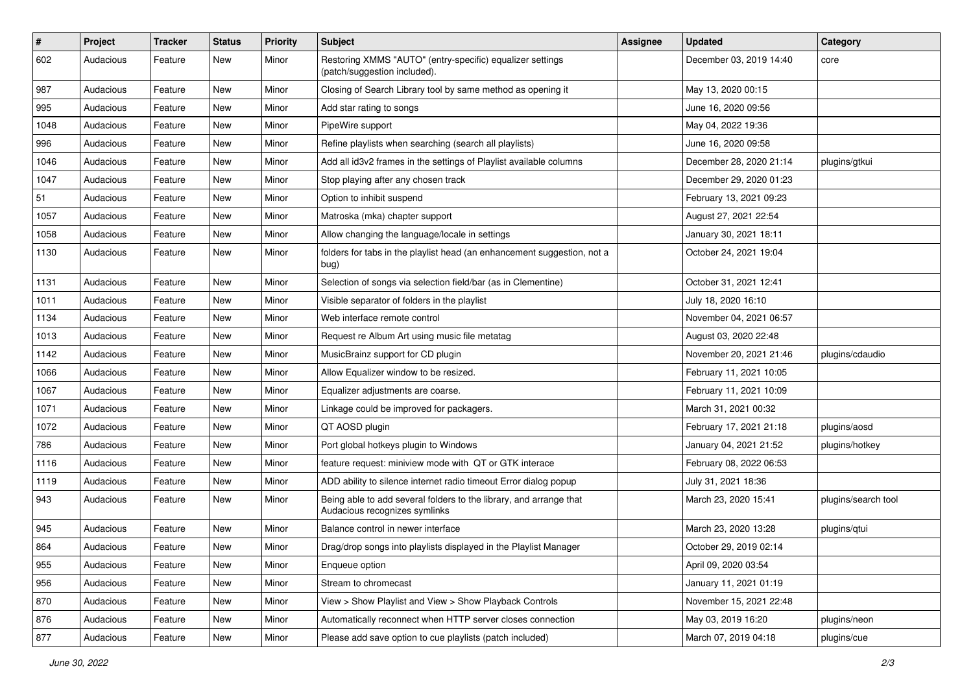| $\#$ | Project   | <b>Tracker</b> | <b>Status</b> | <b>Priority</b> | Subject                                                                                             | <b>Assignee</b> | <b>Updated</b>          | Category            |
|------|-----------|----------------|---------------|-----------------|-----------------------------------------------------------------------------------------------------|-----------------|-------------------------|---------------------|
| 602  | Audacious | Feature        | New           | Minor           | Restoring XMMS "AUTO" (entry-specific) equalizer settings<br>(patch/suggestion included).           |                 | December 03, 2019 14:40 | core                |
| 987  | Audacious | Feature        | New           | Minor           | Closing of Search Library tool by same method as opening it                                         |                 | May 13, 2020 00:15      |                     |
| 995  | Audacious | Feature        | New           | Minor           | Add star rating to songs                                                                            |                 | June 16, 2020 09:56     |                     |
| 1048 | Audacious | Feature        | New           | Minor           | PipeWire support                                                                                    |                 | May 04, 2022 19:36      |                     |
| 996  | Audacious | Feature        | New           | Minor           | Refine playlists when searching (search all playlists)                                              |                 | June 16, 2020 09:58     |                     |
| 1046 | Audacious | Feature        | New           | Minor           | Add all id3v2 frames in the settings of Playlist available columns                                  |                 | December 28, 2020 21:14 | plugins/gtkui       |
| 1047 | Audacious | Feature        | New           | Minor           | Stop playing after any chosen track                                                                 |                 | December 29, 2020 01:23 |                     |
| 51   | Audacious | Feature        | New           | Minor           | Option to inhibit suspend                                                                           |                 | February 13, 2021 09:23 |                     |
| 1057 | Audacious | Feature        | <b>New</b>    | Minor           | Matroska (mka) chapter support                                                                      |                 | August 27, 2021 22:54   |                     |
| 1058 | Audacious | Feature        | New           | Minor           | Allow changing the language/locale in settings                                                      |                 | January 30, 2021 18:11  |                     |
| 1130 | Audacious | Feature        | New           | Minor           | folders for tabs in the playlist head (an enhancement suggestion, not a<br>bug)                     |                 | October 24, 2021 19:04  |                     |
| 1131 | Audacious | Feature        | New           | Minor           | Selection of songs via selection field/bar (as in Clementine)                                       |                 | October 31, 2021 12:41  |                     |
| 1011 | Audacious | Feature        | New           | Minor           | Visible separator of folders in the playlist                                                        |                 | July 18, 2020 16:10     |                     |
| 1134 | Audacious | Feature        | New           | Minor           | Web interface remote control                                                                        |                 | November 04, 2021 06:57 |                     |
| 1013 | Audacious | Feature        | New           | Minor           | Request re Album Art using music file metatag                                                       |                 | August 03, 2020 22:48   |                     |
| 1142 | Audacious | Feature        | <b>New</b>    | Minor           | MusicBrainz support for CD plugin                                                                   |                 | November 20, 2021 21:46 | plugins/cdaudio     |
| 1066 | Audacious | Feature        | New           | Minor           | Allow Equalizer window to be resized.                                                               |                 | February 11, 2021 10:05 |                     |
| 1067 | Audacious | Feature        | New           | Minor           | Equalizer adjustments are coarse.                                                                   |                 | February 11, 2021 10:09 |                     |
| 1071 | Audacious | Feature        | New           | Minor           | Linkage could be improved for packagers.                                                            |                 | March 31, 2021 00:32    |                     |
| 1072 | Audacious | Feature        | New           | Minor           | QT AOSD plugin                                                                                      |                 | February 17, 2021 21:18 | plugins/aosd        |
| 786  | Audacious | Feature        | <b>New</b>    | Minor           | Port global hotkeys plugin to Windows                                                               |                 | January 04, 2021 21:52  | plugins/hotkey      |
| 1116 | Audacious | Feature        | New           | Minor           | feature request: miniview mode with QT or GTK interace                                              |                 | February 08, 2022 06:53 |                     |
| 1119 | Audacious | Feature        | New           | Minor           | ADD ability to silence internet radio timeout Error dialog popup                                    |                 | July 31, 2021 18:36     |                     |
| 943  | Audacious | Feature        | New           | Minor           | Being able to add several folders to the library, and arrange that<br>Audacious recognizes symlinks |                 | March 23, 2020 15:41    | plugins/search tool |
| 945  | Audacious | Feature        | New           | Minor           | Balance control in newer interface                                                                  |                 | March 23, 2020 13:28    | plugins/qtui        |
| 864  | Audacious | Feature        | New           | Minor           | Drag/drop songs into playlists displayed in the Playlist Manager                                    |                 | October 29, 2019 02:14  |                     |
| 955  | Audacious | Feature        | New           | Minor           | Enqueue option                                                                                      |                 | April 09, 2020 03:54    |                     |
| 956  | Audacious | Feature        | New           | Minor           | Stream to chromecast                                                                                |                 | January 11, 2021 01:19  |                     |
| 870  | Audacious | Feature        | New           | Minor           | View > Show Playlist and View > Show Playback Controls                                              |                 | November 15, 2021 22:48 |                     |
| 876  | Audacious | Feature        | New           | Minor           | Automatically reconnect when HTTP server closes connection                                          |                 | May 03, 2019 16:20      | plugins/neon        |
| 877  | Audacious | Feature        | New           | Minor           | Please add save option to cue playlists (patch included)                                            |                 | March 07, 2019 04:18    | plugins/cue         |